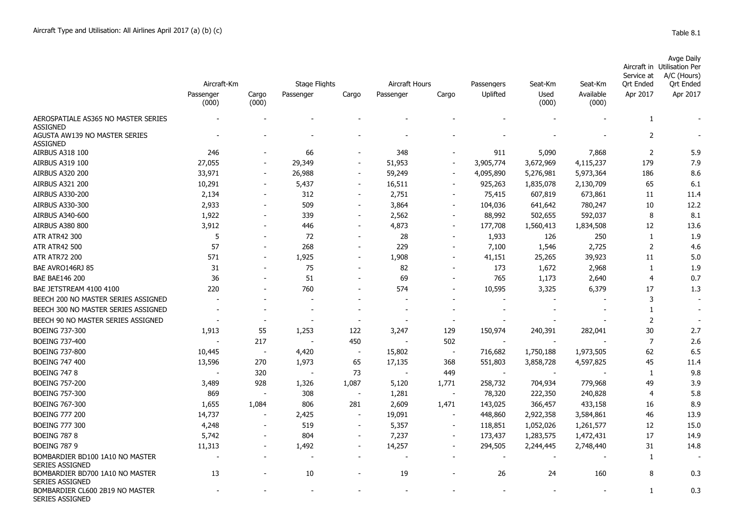|                                                  |                                   |                          |                            |                          |                             |                          |                        |                          |                               |                                            | rapic o.i                                                                                       |
|--------------------------------------------------|-----------------------------------|--------------------------|----------------------------|--------------------------|-----------------------------|--------------------------|------------------------|--------------------------|-------------------------------|--------------------------------------------|-------------------------------------------------------------------------------------------------|
|                                                  | Aircraft-Km<br>Passenger<br>(000) | Cargo<br>(000)           | Stage Flights<br>Passenger | Cargo                    | Aircraft Hours<br>Passenger | Cargo                    | Passengers<br>Uplifted | Seat-Km<br>Used<br>(000) | Seat-Km<br>Available<br>(000) | Service at<br><b>Qrt Ended</b><br>Apr 2017 | <b>Avge Daily</b><br>Aircraft in Utilisation Per<br>A/C (Hours)<br><b>Qrt Ended</b><br>Apr 2017 |
| AEROSPATIALE AS365 NO MASTER SERIES              |                                   |                          |                            |                          |                             |                          |                        |                          |                               | $\mathbf{1}$                               |                                                                                                 |
| <b>ASSIGNED</b>                                  |                                   |                          |                            |                          |                             |                          |                        |                          |                               |                                            |                                                                                                 |
| AGUSTA AW139 NO MASTER SERIES<br><b>ASSIGNED</b> |                                   |                          |                            |                          |                             |                          |                        |                          |                               | $\overline{2}$                             |                                                                                                 |
| AIRBUS A318 100                                  | 246                               |                          | 66                         | $\overline{\phantom{a}}$ | 348                         | $\overline{\phantom{a}}$ | 911                    | 5,090                    | 7,868                         | $\mathbf 2$                                | 5.9                                                                                             |
| AIRBUS A319 100                                  | 27,055                            |                          | 29,349                     | $\overline{\phantom{a}}$ | 51,953                      | $\blacksquare$           | 3,905,774              | 3,672,969                | 4,115,237                     | 179                                        | 7.9                                                                                             |
| <b>AIRBUS A320 200</b>                           | 33,971                            |                          | 26,988                     | $\overline{\phantom{a}}$ | 59,249                      | $\blacksquare$           | 4,095,890              | 5,276,981                | 5,973,364                     | 186                                        | 8.6                                                                                             |
| <b>AIRBUS A321 200</b>                           | 10,291                            |                          | 5,437                      | $\overline{\phantom{a}}$ | 16,511                      | $\blacksquare$           | 925,263                | 1,835,078                | 2,130,709                     | 65                                         | 6.1                                                                                             |
| AIRBUS A330-200                                  | 2,134                             |                          | 312                        | $\overline{\phantom{a}}$ | 2,751                       | $\overline{\phantom{a}}$ | 75,415                 | 607,819                  | 673,861                       | 11                                         | 11.4                                                                                            |
| AIRBUS A330-300                                  | 2,933                             |                          | 509                        | $\overline{\phantom{a}}$ | 3,864                       | $\overline{\phantom{a}}$ | 104,036                | 641,642                  | 780,247                       | 10                                         | 12.2                                                                                            |
| AIRBUS A340-600                                  | 1,922                             |                          | 339                        | $\overline{\phantom{a}}$ | 2,562                       | $\overline{\phantom{a}}$ | 88,992                 | 502,655                  | 592,037                       | 8                                          | 8.1                                                                                             |
| <b>AIRBUS A380 800</b>                           | 3,912                             |                          | 446                        | $\overline{\phantom{a}}$ | 4,873                       | $\blacksquare$           | 177,708                | 1,560,413                | 1,834,508                     | 12                                         | 13.6                                                                                            |
| <b>ATR ATR42 300</b>                             | 5                                 |                          | 72                         |                          | 28                          | $\overline{\phantom{a}}$ | 1,933                  | 126                      | 250                           | 1                                          | 1.9                                                                                             |
| <b>ATR ATR42 500</b>                             | 57                                |                          | 268                        |                          | 229                         |                          | 7,100                  | 1,546                    | 2,725                         | $\overline{2}$                             | 4.6                                                                                             |
| <b>ATR ATR72 200</b>                             | 571                               |                          | 1,925                      | $\overline{\phantom{a}}$ | 1,908                       |                          | 41,151                 | 25,265                   | 39,923                        | 11                                         | 5.0                                                                                             |
| BAE AVRO146RJ 85                                 | 31                                |                          | 75                         | $\overline{\phantom{a}}$ | 82                          |                          | 173                    | 1,672                    | 2,968                         | 1                                          | 1.9                                                                                             |
| <b>BAE BAE146 200</b>                            | 36                                |                          | 51                         | $\overline{\phantom{a}}$ | 69                          |                          | 765                    | 1,173                    | 2,640                         | 4                                          | 0.7                                                                                             |
| BAE JETSTREAM 4100 4100                          | 220                               |                          | 760                        | $\overline{\phantom{a}}$ | 574                         |                          | 10,595                 | 3,325                    | 6,379                         | 17                                         | 1.3                                                                                             |
| BEECH 200 NO MASTER SERIES ASSIGNED              |                                   |                          |                            |                          |                             |                          |                        |                          |                               | 3                                          |                                                                                                 |
| BEECH 300 NO MASTER SERIES ASSIGNED              |                                   |                          |                            |                          |                             |                          |                        |                          |                               | -1                                         |                                                                                                 |
| BEECH 90 NO MASTER SERIES ASSIGNED               |                                   |                          |                            |                          |                             |                          |                        |                          |                               | 2                                          |                                                                                                 |
| BOEING 737-300                                   | 1,913                             | 55                       | 1,253                      | 122                      | 3,247                       | 129                      | 150,974                | 240,391                  | 282,041                       | 30                                         | 2.7                                                                                             |
| BOEING 737-400                                   |                                   | 217                      | $\sim$                     | 450                      |                             | 502                      |                        |                          |                               | $\overline{7}$                             | 2.6                                                                                             |
| <b>BOEING 737-800</b>                            | 10,445                            | $\overline{\phantom{a}}$ | 4,420                      | $\overline{\phantom{a}}$ | 15,802                      | $\sim$                   | 716,682                | 1,750,188                | 1,973,505                     | 62                                         | 6.5                                                                                             |
| <b>BOEING 747 400</b>                            | 13,596                            | 270                      | 1,973                      | 65                       | 17,135                      | 368                      | 551,803                | 3,858,728                | 4,597,825                     | 45                                         | 11.4                                                                                            |
| <b>BOEING 747 8</b>                              |                                   | 320                      | $\overline{\phantom{a}}$   | 73                       |                             | 449                      |                        |                          |                               | 1                                          | 9.8                                                                                             |
| <b>BOEING 757-200</b>                            | 3,489                             | 928                      | 1,326                      | 1,087                    | 5,120                       | 1,771                    | 258,732                | 704,934                  | 779,968                       | 49                                         | 3.9                                                                                             |
| <b>BOEING 757-300</b>                            | 869                               |                          | 308                        | <u>—</u>                 | 1,281                       | $\overline{\phantom{a}}$ | 78,320                 | 222,350                  | 240,828                       | 4                                          | 5.8                                                                                             |
| <b>BOEING 767-300</b>                            | 1,655                             | 1,084                    | 806                        | 281                      | 2,609                       | 1,471                    | 143,025                | 366,457                  | 433,158                       | 16                                         | 8.9                                                                                             |
| <b>BOEING 777 200</b>                            | 14,737                            |                          | 2,425                      | $\overline{\phantom{a}}$ | 19,091                      |                          | 448,860                | 2,922,358                | 3,584,861                     | 46                                         | 13.9                                                                                            |
| <b>BOEING 777 300</b>                            | 4,248                             |                          | 519                        | $\overline{\phantom{a}}$ | 5,357                       | $\overline{\phantom{a}}$ | 118,851                | 1,052,026                | 1,261,577                     | 12                                         | 15.0                                                                                            |

BOEING 787 8 5,742 - 804 - 7,237 - 173,437 1,283,575 1,472,431 17 14.9 BOEING 787 9 11,313 - 1,492 - 14,257 - 294,505 2,244,445 2,748,440 31 14.8

- - - - - - - - - 1 -

13 - 10 - 19 - 26 24 160 8 0.3

- and the set of the set of the set of the set of the set of the set of the set of the set of the  $0.3$ 

SERIES ASSIGNED

SERIES ASSIGNED

SERIES ASSIGNED

BOMBARDIER BD100 1A10 NO MASTER

BOMBARDIER BD700 1A10 NO MASTER

BOMBARDIER CL600 2B19 NO MASTER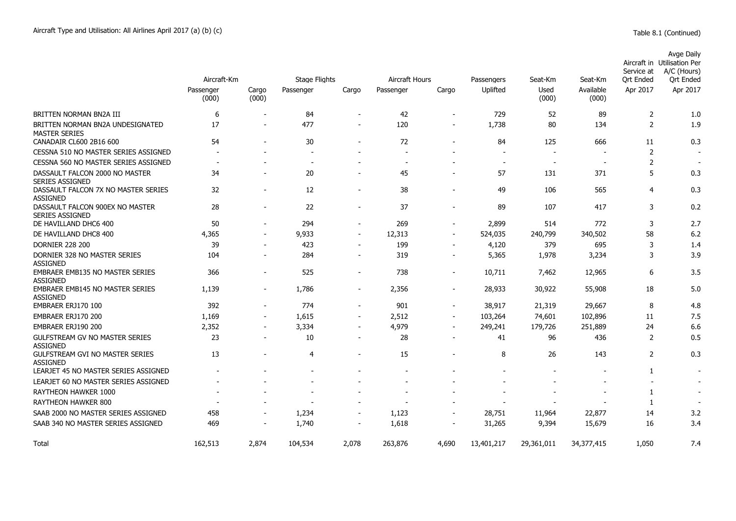|                                                           |                    |                          |                          |                          |                |                          |                |               |                          | Service at     | Avge Daily<br>Aircraft in Utilisation Per<br>A/C (Hours) |
|-----------------------------------------------------------|--------------------|--------------------------|--------------------------|--------------------------|----------------|--------------------------|----------------|---------------|--------------------------|----------------|----------------------------------------------------------|
|                                                           | Aircraft-Km        |                          | <b>Stage Flights</b>     |                          | Aircraft Hours |                          | Passengers     | Seat-Km       | Seat-Km                  | Ort Ended      | Ort Ended                                                |
|                                                           | Passenger<br>(000) | Cargo<br>(000)           | Passenger                | Cargo                    | Passenger      | Cargo                    | Uplifted       | Used<br>(000) | Available<br>(000)       | Apr 2017       | Apr 2017                                                 |
| BRITTEN NORMAN BN2A III                                   | 6                  |                          | 84                       |                          | 42             |                          | 729            | 52            | 89                       | 2              | 1.0                                                      |
| BRITTEN NORMAN BN2A UNDESIGNATED<br><b>MASTER SERIES</b>  | 17                 |                          | 477                      | $\sim$                   | 120            |                          | 1,738          | 80            | 134                      | 2              | 1.9                                                      |
| CANADAIR CL600 2B16 600                                   | 54                 |                          | 30                       |                          | 72             |                          | 84             | 125           | 666                      | 11             | 0.3                                                      |
| CESSNA 510 NO MASTER SERIES ASSIGNED                      |                    |                          |                          |                          |                |                          |                |               |                          | $\overline{2}$ |                                                          |
| CESSNA 560 NO MASTER SERIES ASSIGNED                      | $\sim$             |                          | $\overline{\phantom{a}}$ |                          | $\sim$         |                          | $\sim$         | $\sim$        | <b>.</b>                 | 2              | <b>.</b>                                                 |
| DASSAULT FALCON 2000 NO MASTER<br><b>SERIES ASSIGNED</b>  | 34                 |                          | 20                       |                          | 45             |                          | 57             | 131           | 371                      | 5              | 0.3                                                      |
| DASSAULT FALCON 7X NO MASTER SERIES<br><b>ASSIGNED</b>    | 32                 |                          | 12                       | $\blacksquare$           | 38             |                          | 49             | 106           | 565                      | $\overline{4}$ | 0.3                                                      |
| DASSAULT FALCON 900EX NO MASTER<br><b>SERIES ASSIGNED</b> | 28                 |                          | 22                       | $\overline{a}$           | 37             | $\overline{\phantom{0}}$ | 89             | 107           | 417                      | 3              | 0.2                                                      |
| DE HAVILLAND DHC6 400                                     | 50                 | $\overline{\phantom{a}}$ | 294                      | $\overline{\phantom{a}}$ | 269            | $\overline{\phantom{a}}$ | 2,899          | 514           | 772                      | 3              | 2.7                                                      |
| DE HAVILLAND DHC8 400                                     | 4,365              | $\blacksquare$           | 9,933                    | $\blacksquare$           | 12,313         | $\blacksquare$           | 524,035        | 240,799       | 340,502                  | 58             | 6.2                                                      |
| <b>DORNIER 228 200</b>                                    | 39                 | $\blacksquare$           | 423                      | $\overline{\phantom{a}}$ | 199            | $\overline{\phantom{a}}$ | 4,120          | 379           | 695                      | 3              | 1.4                                                      |
| DORNIER 328 NO MASTER SERIES<br><b>ASSIGNED</b>           | 104                |                          | 284                      |                          | 319            |                          | 5,365          | 1,978         | 3,234                    | 3              | 3.9                                                      |
| <b>EMBRAER EMB135 NO MASTER SERIES</b><br><b>ASSIGNED</b> | 366                | $\overline{\phantom{a}}$ | 525                      | $\overline{\phantom{a}}$ | 738            | $\overline{\phantom{a}}$ | 10,711         | 7,462         | 12,965                   | 6              | 3.5                                                      |
| EMBRAER EMB145 NO MASTER SERIES<br><b>ASSIGNED</b>        | 1,139              | $\overline{\phantom{a}}$ | 1,786                    | $\overline{\phantom{a}}$ | 2,356          | $\overline{\phantom{a}}$ | 28,933         | 30,922        | 55,908                   | 18             | 5.0                                                      |
| EMBRAER ERJ170 100                                        | 392                | $\sim$                   | 774                      | $\overline{\phantom{a}}$ | 901            | $\overline{\phantom{a}}$ | 38,917         | 21,319        | 29,667                   | 8              | 4.8                                                      |
| EMBRAER ERJ170 200                                        | 1,169              | $\overline{\phantom{a}}$ | 1,615                    | $\overline{\phantom{a}}$ | 2,512          | $\overline{\phantom{a}}$ | 103,264        | 74,601        | 102,896                  | 11             | 7.5                                                      |
| EMBRAER ERJ190 200                                        | 2,352              | $\sim$                   | 3,334                    | $\blacksquare$           | 4,979          | $\blacksquare$           | 249,241        | 179,726       | 251,889                  | 24             | 6.6                                                      |
| <b>GULFSTREAM GV NO MASTER SERIES</b><br><b>ASSIGNED</b>  | 23                 |                          | 10                       | $\blacksquare$           | 28             | $\sim$                   | 41             | 96            | 436                      | 2              | 0.5                                                      |
| <b>GULFSTREAM GVI NO MASTER SERIES</b><br><b>ASSIGNED</b> | 13                 |                          | 4                        | $\blacksquare$           | 15             |                          | 8              | 26            | 143                      | $\overline{2}$ | 0.3                                                      |
| LEARJET 45 NO MASTER SERIES ASSIGNED                      |                    |                          |                          |                          |                |                          |                |               | $\overline{\phantom{a}}$ | 1              | $\sim$                                                   |
| LEARJET 60 NO MASTER SERIES ASSIGNED                      |                    |                          |                          |                          |                |                          |                |               | $\overline{\phantom{a}}$ |                | $\overline{\phantom{a}}$                                 |
| RAYTHEON HAWKER 1000                                      |                    |                          |                          |                          |                |                          |                |               |                          | 1              |                                                          |
| RAYTHEON HAWKER 800                                       |                    |                          | $\sim$                   | $\sim$                   |                |                          | $\blacksquare$ |               | $\overline{\phantom{0}}$ | $\mathbf{1}$   | $\overline{\phantom{a}}$                                 |
| SAAB 2000 NO MASTER SERIES ASSIGNED                       | 458                | $\overline{\phantom{a}}$ | 1,234                    | $\overline{\phantom{a}}$ | 1,123          | $\overline{\phantom{a}}$ | 28,751         | 11,964        | 22,877                   | 14             | 3.2                                                      |
| SAAB 340 NO MASTER SERIES ASSIGNED                        | 469                | $\overline{\phantom{a}}$ | 1,740                    | $\overline{\phantom{a}}$ | 1,618          | $\overline{\phantom{a}}$ | 31,265         | 9,394         | 15,679                   | 16             | 3.4                                                      |
| Total                                                     | 162,513            | 2,874                    | 104,534                  | 2,078                    | 263,876        | 4,690                    | 13,401,217     | 29,361,011    | 34,377,415               | 1,050          | 7.4                                                      |